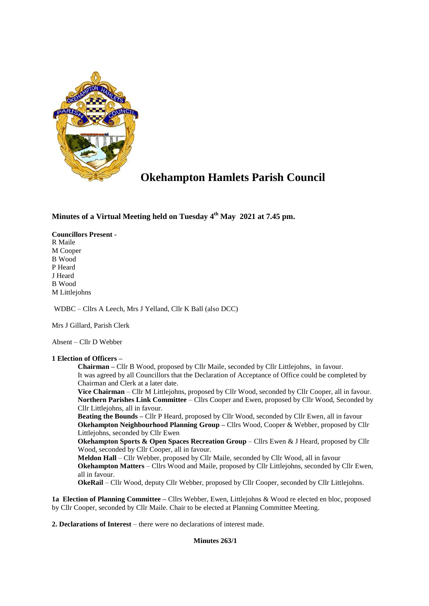

# **Okehampton Hamlets Parish Council**

**Minutes of a Virtual Meeting held on Tuesday 4 th May 2021 at 7.45 pm.** 

# **Councillors Present -**

R Maile M Cooper B Wood P Heard J Heard B Wood M Littlejohns

WDBC – Cllrs A Leech, Mrs J Yelland, Cllr K Ball (also DCC)

Mrs J Gillard, Parish Clerk

Absent – Cllr D Webber

# **1 Election of Officers –**

**Chairman –** Cllr B Wood, proposed by Cllr Maile, seconded by Cllr Littlejohns, in favour. It was agreed by all Councillors that the Declaration of Acceptance of Office could be completed by Chairman and Clerk at a later date.

**Vice Chairman** – Cllr M Littlejohns, proposed by Cllr Wood, seconded by Cllr Cooper, all in favour. **Northern Parishes Link Committee** – Cllrs Cooper and Ewen, proposed by Cllr Wood, Seconded by Cllr Littlejohns, all in favour.

**Beating the Bounds –** Cllr P Heard, proposed by Cllr Wood, seconded by Cllr Ewen, all in favour **Okehampton Neighbourhood Planning Group –** Cllrs Wood, Cooper & Webber, proposed by Cllr Littlejohns, seconded by Cllr Ewen

**Okehampton Sports & Open Spaces Recreation Group** – Cllrs Ewen & J Heard, proposed by Cllr Wood, seconded by Cllr Cooper, all in favour.

**Meldon Hall** – Cllr Webber, proposed by Cllr Maile, seconded by Cllr Wood, all in favour **Okehampton Matters** – Cllrs Wood and Maile, proposed by Cllr Littlejohns, seconded by Cllr Ewen, all in favour.

**OkeRail** – Cllr Wood, deputy Cllr Webber, proposed by Cllr Cooper, seconded by Cllr Littlejohns.

**1a Election of Planning Committee –** Cllrs Webber, Ewen, Littlejohns & Wood re elected en bloc, proposed by Cllr Cooper, seconded by Cllr Maile. Chair to be elected at Planning Committee Meeting.

**2. Declarations of Interest** – there were no declarations of interest made.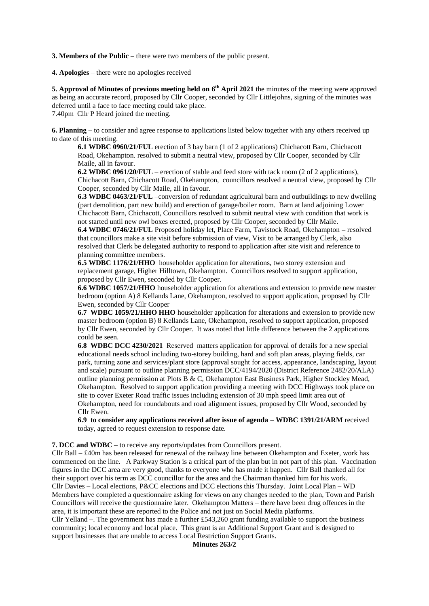**3. Members of the Public –** there were two members of the public present.

**4. Apologies** – there were no apologies received

**5. Approval of Minutes of previous meeting held on 6<sup>th</sup> April 2021** the minutes of the meeting were approved as being an accurate record, proposed by Cllr Cooper, seconded by Cllr Littlejohns, signing of the minutes was deferred until a face to face meeting could take place. 7.40pm Cllr P Heard joined the meeting.

**6. Planning –** to consider and agree response to applications listed below together with any others received up

to date of this meeting. **6.1 WDBC 0960/21/FUL** erection of 3 bay barn (1 of 2 applications) Chichacott Barn, Chichacott Road, Okehampton. resolved to submit a neutral view, proposed by Cllr Cooper, seconded by Cllr Maile, all in favour.

**6.2 WDBC 0961/20/FUL** – erection of stable and feed store with tack room (2 of 2 applications), Chichacott Barn, Chichacott Road, Okehampton, councillors resolved a neutral view, proposed by Cllr Cooper, seconded by Cllr Maile, all in favour.

**6.3 WDBC 0463/21/FUL** –conversion of redundant agricultural barn and outbuildings to new dwelling (part demolition, part new build) and erection of garage/boiler room. Barn at land adjoining Lower Chichacott Barn, Chichacott, Councillors resolved to submit neutral view with condition that work is not started until new owl boxes erected, proposed by Cllr Cooper, seconded by Cllr Maile.

**6.4 WDBC 0746/21/FUL** Proposed holiday let, Place Farm, Tavistock Road, Okehampton **–** resolved that councillors make a site visit before submission of view, Visit to be arranged by Clerk, also resolved that Clerk be delegated authority to respond to application after site visit and reference to planning committee members.

**6.5 WDBC 1176/21/HHO** householder application for alterations, two storey extension and replacement garage, Higher Hilltown, Okehampton. Councillors resolved to support application, proposed by Cllr Ewen, seconded by Cllr Cooper.

**6.6 WDBC 1057/21/HHO** householder application for alterations and extension to provide new master bedroom (option A) 8 Kellands Lane, Okehampton, resolved to support application, proposed by Cllr Ewen, seconded by Cllr Cooper

**6.7 WDBC 1059/21/HHO HHO** householder application for alterations and extension to provide new master bedroom (option B) 8 Kellands Lane, Okehampton, resolved to support application, proposed by Cllr Ewen, seconded by Cllr Cooper. It was noted that little difference between the 2 applications could be seen.

**6.8 WDBC DCC 4230/2021** Reserved matters application for approval of details for a new special educational needs school including two-storey building, hard and soft plan areas, playing fields, car park, turning zone and services/plant store (approval sought for access, appearance, landscaping, layout and scale) pursuant to outline planning permission DCC/4194/2020 (District Reference 2482/20/ALA) outline planning permission at Plots B & C, Okehampton East Business Park, Higher Stockley Mead, Okehampton. Resolved to support application providing a meeting with DCC Highways took place on site to cover Exeter Road traffic issues including extension of 30 mph speed limit area out of Okehampton, need for roundabouts and road alignment issues, proposed by Cllr Wood, seconded by Cllr Ewen.

**6.9 to consider any applications received after issue of agenda – WDBC 1391/21/ARM** received today, agreed to request extension to response date.

**7. DCC and WDBC –** to receive any reports/updates from Councillors present.

Cllr Ball – £40m has been released for renewal of the railway line between Okehampton and Exeter, work has commenced on the line. A Parkway Station is a critical part of the plan but in not part of this plan. Vaccination figures in the DCC area are very good, thanks to everyone who has made it happen. Cllr Ball thanked all for their support over his term as DCC councillor for the area and the Chairman thanked him for his work. Cllr Davies – Local elections, P&CC elections and DCC elections this Thursday. Joint Local Plan – WD Members have completed a questionnaire asking for views on any changes needed to the plan, Town and Parish Councillors will receive the questionnaire later. Okehampton Matters – there have been drug offences in the area, it is important these are reported to the Police and not just on Social Media platforms.

Cllr Yelland –. The government has made a further £543,260 grant funding available to support the business community; local economy and local place. This grant is an Additional Support Grant and is designed to support businesses that are unable to access Local Restriction Support Grants.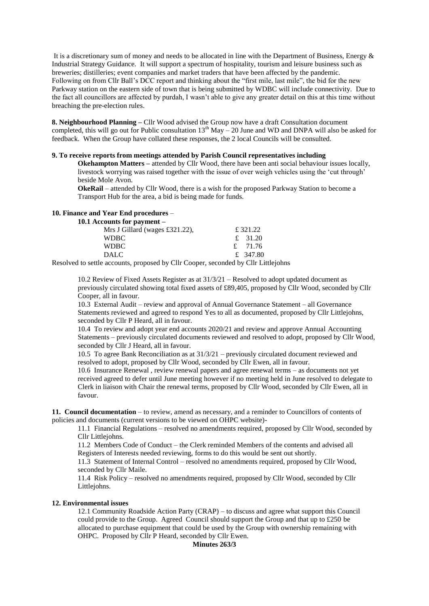It is a discretionary sum of money and needs to be allocated in line with the Department of Business, Energy & Industrial Strategy Guidance. It will support a spectrum of hospitality, tourism and leisure business such as breweries; distilleries; event companies and market traders that have been affected by the pandemic. Following on from Cllr Ball's DCC report and thinking about the "first mile, last mile", the bid for the new Parkway station on the eastern side of town that is being submitted by WDBC will include connectivity. Due to the fact all councillors are affected by purdah, I wasn't able to give any greater detail on this at this time without breaching the pre-election rules.

**8. Neighbourhood Planning –** Cllr Wood advised the Group now have a draft Consultation document completed, this will go out for Public consultation  $13^{th}$  May – 20 June and WD and DNPA will also be asked for feedback. When the Group have collated these responses, the 2 local Councils will be consulted.

# **9. To receive reports from meetings attended by Parish Council representatives including**

**Okehampton Matters** – attended by Cllr Wood, there have been anti social behaviour issues locally, livestock worrying was raised together with the issue of over weigh vehicles using the 'cut through' beside Mole Avon.

**OkeRail** – attended by Cllr Wood, there is a wish for the proposed Parkway Station to become a Transport Hub for the area, a bid is being made for funds.

#### **10. Finance and Year End procedures** –

**10.1 Accounts for payment –**

| $\sim$ 0.11.00 101 $\sim$ 0.1.101.1.10 |           |  |
|----------------------------------------|-----------|--|
| Mrs J Gillard (wages £321.22),         | £ 321.22  |  |
| WDBC                                   | £ 31.20   |  |
| WDBC                                   | £ $71.76$ |  |
| <b>DALC</b>                            | £ 347.80  |  |
|                                        |           |  |

Resolved to settle accounts, proposed by Cllr Cooper, seconded by Cllr Littlejohns

10.2 Review of Fixed Assets Register as at 31/3/21 – Resolved to adopt updated document as previously circulated showing total fixed assets of £89,405, proposed by Cllr Wood, seconded by Cllr Cooper, all in favour.

10.3 External Audit – review and approval of Annual Governance Statement – all Governance Statements reviewed and agreed to respond Yes to all as documented, proposed by Cllr Littlejohns, seconded by Cllr P Heard, all in favour.

10.4 To review and adopt year end accounts 2020/21 and review and approve Annual Accounting Statements – previously circulated documents reviewed and resolved to adopt, proposed by Cllr Wood, seconded by Cllr J Heard, all in favour.

10.5 To agree Bank Reconciliation as at 31/3/21 – previously circulated document reviewed and resolved to adopt, proposed by Cllr Wood, seconded by Cllr Ewen, all in favour.

10.6 Insurance Renewal , review renewal papers and agree renewal terms – as documents not yet received agreed to defer until June meeting however if no meeting held in June resolved to delegate to Clerk in liaison with Chair the renewal terms, proposed by Cllr Wood, seconded by Cllr Ewen, all in favour.

**11. Council documentation** – to review, amend as necessary, and a reminder to Councillors of contents of policies and documents (current versions to be viewed on OHPC website)-

11.1 Financial Regulations – resolved no amendments required, proposed by Cllr Wood, seconded by Cllr Littlejohns.

11.2 Members Code of Conduct – the Clerk reminded Members of the contents and advised all Registers of Interests needed reviewing, forms to do this would be sent out shortly.

11.3 Statement of Internal Control – resolved no amendments required, proposed by Cllr Wood, seconded by Cllr Maile.

11.4 Risk Policy – resolved no amendments required, proposed by Cllr Wood, seconded by Cllr Littlejohns.

#### **12. Environmental issues**

12.1 Community Roadside Action Party (CRAP) – to discuss and agree what support this Council could provide to the Group. Agreed Council should support the Group and that up to £250 be allocated to purchase equipment that could be used by the Group with ownership remaining with OHPC. Proposed by Cllr P Heard, seconded by Cllr Ewen.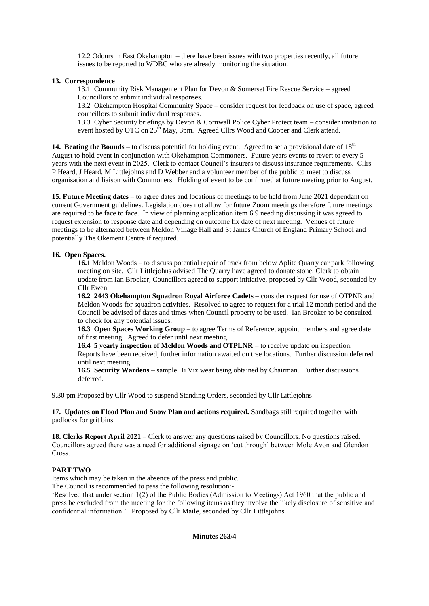12.2 Odours in East Okehampton – there have been issues with two properties recently, all future issues to be reported to WDBC who are already monitoring the situation.

# **13. Correspondence**

13.1 Community Risk Management Plan for Devon & Somerset Fire Rescue Service – agreed Councillors to submit individual responses.

13.2 Okehampton Hospital Community Space – consider request for feedback on use of space, agreed councillors to submit individual responses.

13.3 Cyber Security briefings by Devon & Cornwall Police Cyber Protect team – consider invitation to event hosted by OTC on 25<sup>th</sup> May, 3pm. Agreed Cllrs Wood and Cooper and Clerk attend.

**14. Beating the Bounds** – to discuss potential for holding event. Agreed to set a provisional date of 18<sup>th</sup> August to hold event in conjunction with Okehampton Commoners. Future years events to revert to every 5 years with the next event in 2025. Clerk to contact Council's insurers to discuss insurance requirements. Cllrs P Heard, J Heard, M Littlejohns and D Webber and a volunteer member of the public to meet to discuss organisation and liaison with Commoners. Holding of event to be confirmed at future meeting prior to August.

**15. Future Meeting dates** – to agree dates and locations of meetings to be held from June 2021 dependant on current Government guidelines. Legislation does not allow for future Zoom meetings therefore future meetings are required to be face to face. In view of planning application item 6.9 needing discussing it was agreed to request extension to response date and depending on outcome fix date of next meeting. Venues of future meetings to be alternated between Meldon Village Hall and St James Church of England Primary School and potentially The Okement Centre if required.

# **16. Open Spaces.**

**16.1** Meldon Woods – to discuss potential repair of track from below Aplite Quarry car park following meeting on site. Cllr Littlejohns advised The Quarry have agreed to donate stone, Clerk to obtain update from Ian Brooker, Councillors agreed to support initiative, proposed by Cllr Wood, seconded by Cllr Ewen.

**16.2 2443 Okehampton Squadron Royal Airforce Cadets –** consider request for use of OTPNR and Meldon Woods for squadron activities. Resolved to agree to request for a trial 12 month period and the Council be advised of dates and times when Council property to be used. Ian Brooker to be consulted to check for any potential issues.

**16.3 Open Spaces Working Group** – to agree Terms of Reference, appoint members and agree date of first meeting. Agreed to defer until next meeting.

**16.4 5 yearly inspection of Meldon Woods and OTPLNR** – to receive update on inspection. Reports have been received, further information awaited on tree locations. Further discussion deferred until next meeting.

**16.5 Security Wardens** – sample Hi Viz wear being obtained by Chairman. Further discussions deferred.

9.30 pm Proposed by Cllr Wood to suspend Standing Orders, seconded by Cllr Littlejohns

**17. Updates on Flood Plan and Snow Plan and actions required.** Sandbags still required together with padlocks for grit bins.

**18. Clerks Report April 2021** – Clerk to answer any questions raised by Councillors. No questions raised. Councillors agreed there was a need for additional signage on 'cut through' between Mole Avon and Glendon Cross.

# **PART TWO**

Items which may be taken in the absence of the press and public.

The Council is recommended to pass the following resolution:-

'Resolved that under section 1(2) of the Public Bodies (Admission to Meetings) Act 1960 that the public and press be excluded from the meeting for the following items as they involve the likely disclosure of sensitive and confidential information.' Proposed by Cllr Maile, seconded by Cllr Littlejohns